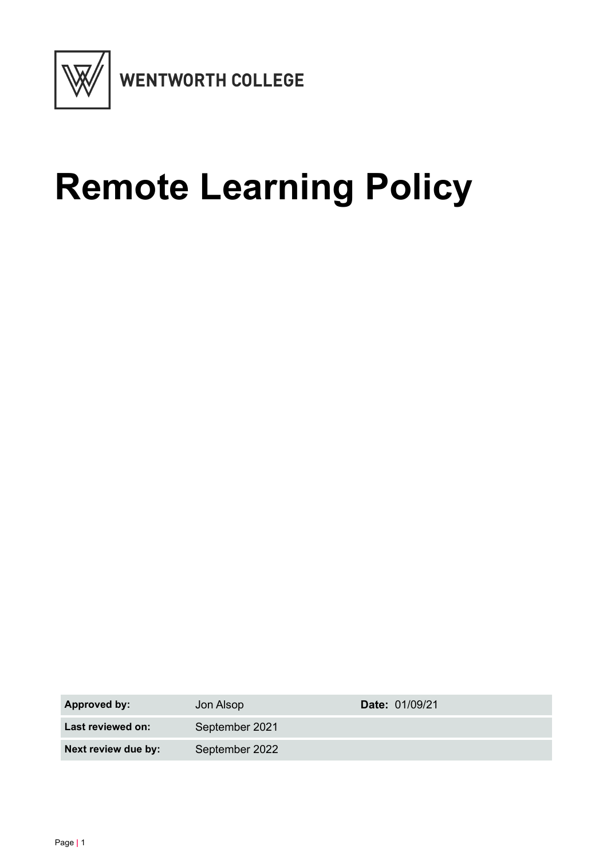

# **Remote Learning Policy**

| <b>Approved by:</b> | Jon Alsop      | <b>Date: 01/09/21</b> |
|---------------------|----------------|-----------------------|
| Last reviewed on:   | September 2021 |                       |
| Next review due by: | September 2022 |                       |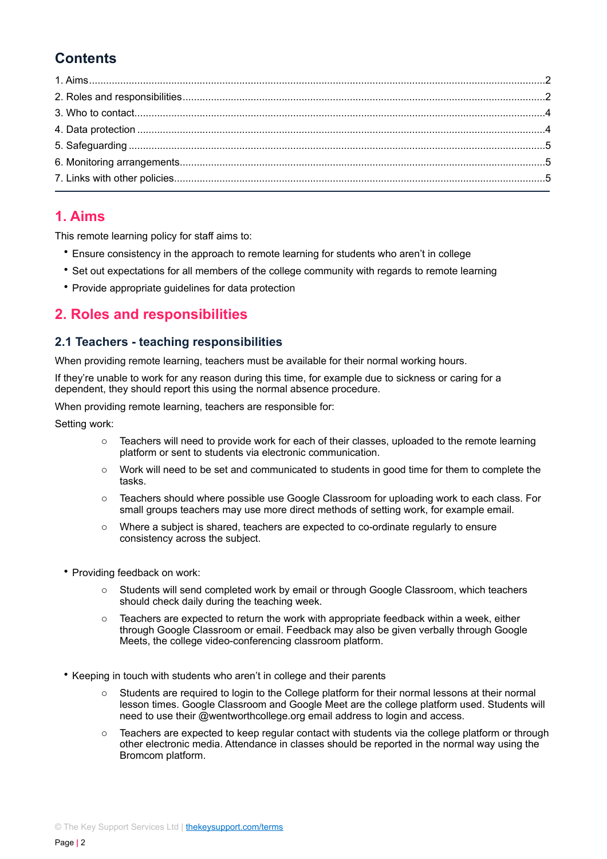## **Contents**

## <span id="page-1-0"></span>**1. Aims**

This remote learning policy for staff aims to:

- Ensure consistency in the approach to remote learning for students who aren't in college
- Set out expectations for all members of the college community with regards to remote learning
- Provide appropriate guidelines for data protection

## <span id="page-1-1"></span>**2. Roles and responsibilities**

#### **2.1 Teachers - teaching responsibilities**

When providing remote learning, teachers must be available for their normal working hours.

If they're unable to work for any reason during this time, for example due to sickness or caring for a dependent, they should report this using the normal absence procedure.

When providing remote learning, teachers are responsible for:

Setting work:

- $\circ$  Teachers will need to provide work for each of their classes, uploaded to the remote learning platform or sent to students via electronic communication.
- $\circ$  Work will need to be set and communicated to students in good time for them to complete the tasks.
- o Teachers should where possible use Google Classroom for uploading work to each class. For small groups teachers may use more direct methods of setting work, for example email.
- o Where a subject is shared, teachers are expected to co-ordinate regularly to ensure consistency across the subject.
- Providing feedback on work:
	- o Students will send completed work by email or through Google Classroom, which teachers should check daily during the teaching week.
	- $\circ$  Teachers are expected to return the work with appropriate feedback within a week, either through Google Classroom or email. Feedback may also be given verbally through Google Meets, the college video-conferencing classroom platform.
- Keeping in touch with students who aren't in college and their parents
	- o Students are required to login to the College platform for their normal lessons at their normal lesson times. Google Classroom and Google Meet are the college platform used. Students will need to use their @wentworthcollege.org email address to login and access.
	- $\circ$  Teachers are expected to keep regular contact with students via the college platform or through other electronic media. Attendance in classes should be reported in the normal way using the Bromcom platform.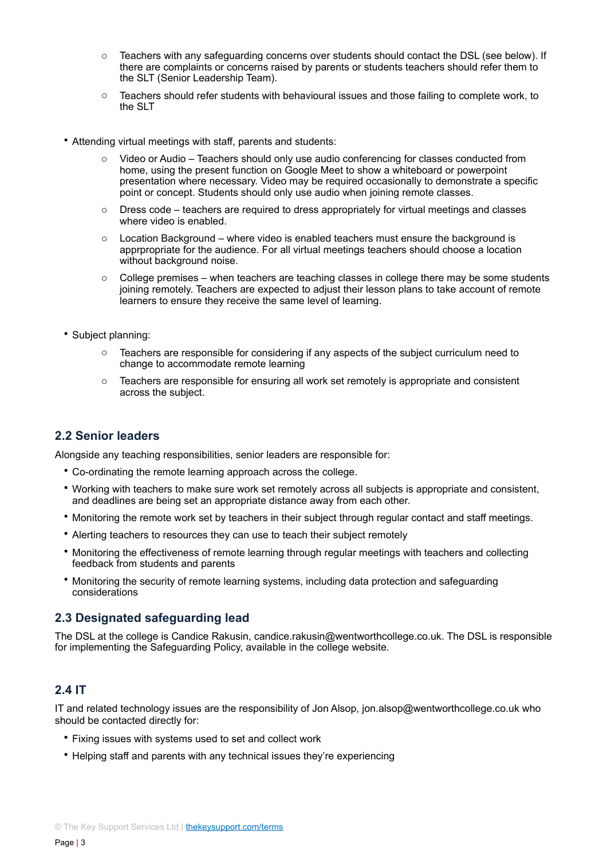- o Teachers with any safeguarding concerns over students should contact the DSL (see below). If there are complaints or concerns raised by parents or students teachers should refer them to the SLT (Senior Leadership Team).
- o Teachers should refer students with behavioural issues and those failing to complete work, to the SLT
- Attending virtual meetings with staff, parents and students:
	- o Video or Audio Teachers should only use audio conferencing for classes conducted from home, using the present function on Google Meet to show a whiteboard or powerpoint presentation where necessary. Video may be required occasionally to demonstrate a specific point or concept. Students should only use audio when joining remote classes.
	- $\circ$  Dress code teachers are required to dress appropriately for virtual meetings and classes where video is enabled.
	- $\circ$  Location Background where video is enabled teachers must ensure the background is apprpropriate for the audience. For all virtual meetings teachers should choose a location without background noise.
	- $\circ$  College premises when teachers are teaching classes in college there may be some students joining remotely. Teachers are expected to adjust their lesson plans to take account of remote learners to ensure they receive the same level of learning.
- Subject planning:
	- $\circ$  Teachers are responsible for considering if any aspects of the subject curriculum need to change to accommodate remote learning
	- o Teachers are responsible for ensuring all work set remotely is appropriate and consistent across the subject.

#### **2.2 Senior leaders**

Alongside any teaching responsibilities, senior leaders are responsible for:

- Co-ordinating the remote learning approach across the college.
- Working with teachers to make sure work set remotely across all subjects is appropriate and consistent, and deadlines are being set an appropriate distance away from each other.
- Monitoring the remote work set by teachers in their subject through regular contact and staff meetings.
- Alerting teachers to resources they can use to teach their subject remotely
- Monitoring the effectiveness of remote learning through regular meetings with teachers and collecting feedback from students and parents
- Monitoring the security of remote learning systems, including data protection and safeguarding considerations

#### **2.3 Designated safeguarding lead**

The DSL at the college is Candice Rakusin, candice.rakusin@wentworthcollege.co.uk. The DSL is responsible for implementing the Safeguarding Policy, available in the college website.

#### **2.4 IT**

IT and related technology issues are the responsibility of Jon Alsop, jon.alsop@wentworthcollege.co.uk who should be contacted directly for:

- Fixing issues with systems used to set and collect work
- Helping staff and parents with any technical issues they're experiencing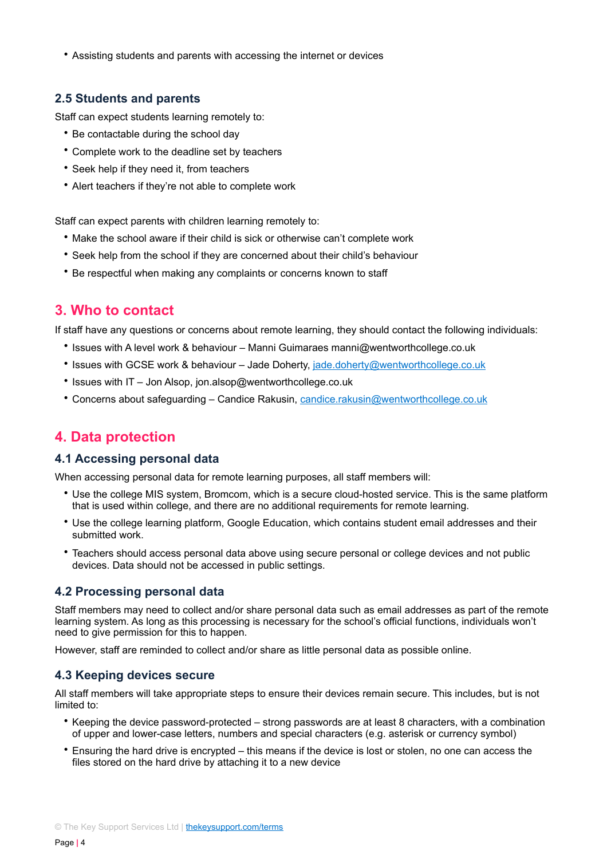• Assisting students and parents with accessing the internet or devices

### **2.5 Students and parents**

Staff can expect students learning remotely to:

- Be contactable during the school day
- Complete work to the deadline set by teachers
- Seek help if they need it, from teachers
- Alert teachers if they're not able to complete work

Staff can expect parents with children learning remotely to:

- Make the school aware if their child is sick or otherwise can't complete work
- Seek help from the school if they are concerned about their child's behaviour
- Be respectful when making any complaints or concerns known to staff

## <span id="page-3-0"></span>**3. Who to contact**

If staff have any questions or concerns about remote learning, they should contact the following individuals:

- Issues with A level work & behaviour Manni Guimaraes manni@wentworthcollege.co.uk
- Issues with GCSE work & behaviour Jade Doherty, [jade.doherty@wentworthcollege.co.uk](mailto:jade.doherty@wentworthcollege.co.uk)
- Issues with IT Jon Alsop, jon.alsop@wentworthcollege.co.uk
- Concerns about safeguarding Candice Rakusin, [candice.rakusin@wentworthcollege.co.uk](mailto:candice.rakusin@wentworthcollege.co.uk)

## <span id="page-3-1"></span>**4. Data protection**

#### **4.1 Accessing personal data**

When accessing personal data for remote learning purposes, all staff members will:

- Use the college MIS system, Bromcom, which is a secure cloud-hosted service. This is the same platform that is used within college, and there are no additional requirements for remote learning.
- Use the college learning platform, Google Education, which contains student email addresses and their submitted work.
- Teachers should access personal data above using secure personal or college devices and not public devices. Data should not be accessed in public settings.

#### **4.2 Processing personal data**

Staff members may need to collect and/or share personal data such as email addresses as part of the remote learning system. As long as this processing is necessary for the school's official functions, individuals won't need to give permission for this to happen.

However, staff are reminded to collect and/or share as little personal data as possible online.

#### **4.3 Keeping devices secure**

All staff members will take appropriate steps to ensure their devices remain secure. This includes, but is not limited to:

- Keeping the device password-protected strong passwords are at least 8 characters, with a combination of upper and lower-case letters, numbers and special characters (e.g. asterisk or currency symbol)
- Ensuring the hard drive is encrypted this means if the device is lost or stolen, no one can access the files stored on the hard drive by attaching it to a new device